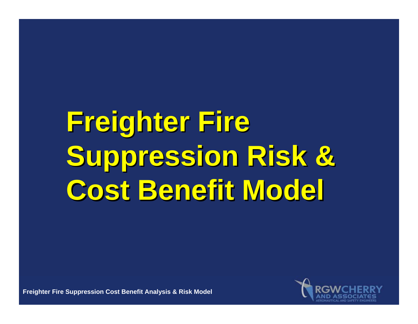# **Freighter Fire Freighter Fire Suppression Risk & Suppression Risk & Cost Benefit Model Cost Benefit Model**

**Freighter Fire Suppression Cost Benefit Analysis & Risk Model**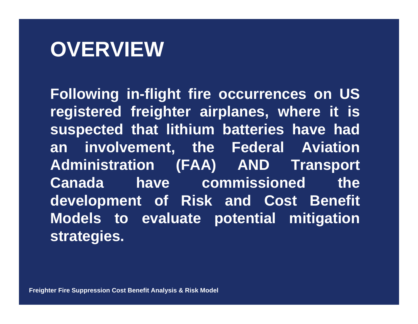### **OVERVIEW**

**Following in-flight fire occurrences on US registered freighter airplanes, where it is suspected that lithium batteries have had an involvement, the Federal Aviation Administration (FAA) AND Transport Canada** have commissioned the **development of Risk and Cost Benefit Models to evaluate potential mitigation strategies.**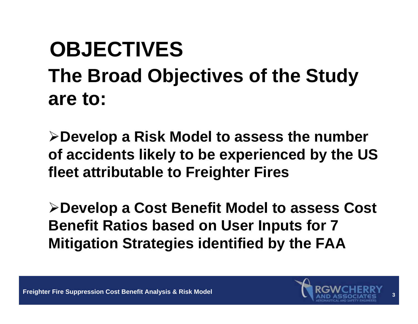### **OBJECTIVES The Broad Objectives of the Study are to:**

**Develop a Risk Model to assess the number of accidents likely to be experienced by the US fleet attributable to Freighter Fires** 

**Develop a Cost Benefit Model to assess Cost Benefit Ratios based on User Inputs for 7 Mitigation Strategies identified by the FAA**

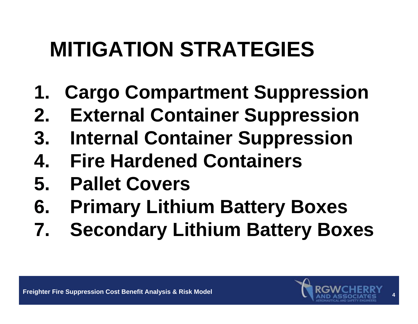# **MITIGATION STRATEGIES**

- **1. Cargo Compartment Suppression**
- **2. External Container Suppression**
- **3. Internal Container Suppression**
- **4. Fire Hardened Containers**
- **5. Pallet Covers**
- **6. Primary Lithium Battery Boxes**
- **7. Secondary Lithium Battery Boxes**

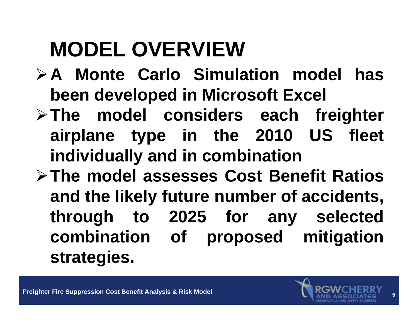# **MODEL OVERVIEW**

- **A Monte Carlo Simulation model has been developed in Microsoft Excel**
- **The model considers each freighter airplane type in the 2010 US fleet individually and in combination**
- **The model assesses Cost Benefit Ratios and the likely future number of accidents, through to 2025 for any selected combination of proposed mitigation strategies.**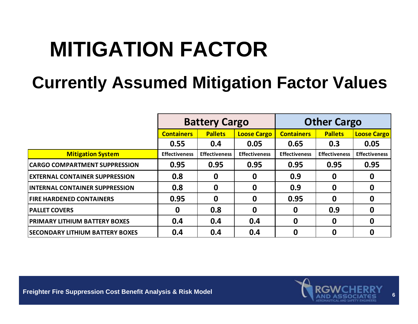### **MITIGATION FACTOR**

#### **Currently Assumed Mitigation Factor Values**

|                                        | <b>Battery Cargo</b> |                      |                      | <b>Other Cargo</b>   |                      |                      |
|----------------------------------------|----------------------|----------------------|----------------------|----------------------|----------------------|----------------------|
|                                        | <b>Containers</b>    | <b>Pallets</b>       | <b>Loose Cargo</b>   | <b>Containers</b>    | <b>Pallets</b>       | <b>Loose Cargo</b>   |
|                                        | 0.55                 | 0.4                  | 0.05                 | 0.65                 | 0.3                  | 0.05                 |
| <b>Mitigation System</b>               | <b>Effectiveness</b> | <b>Effectiveness</b> | <b>Effectiveness</b> | <b>Effectiveness</b> | <b>Effectiveness</b> | <b>Effectiveness</b> |
| <b>CARGO COMPARTMENT SUPPRESSION</b>   | 0.95                 | 0.95                 | 0.95                 | 0.95                 | 0.95                 | 0.95                 |
| <b>EXTERNAL CONTAINER SUPPRESSION</b>  | 0.8                  | $\boldsymbol{0}$     | $\mathbf 0$          | 0.9                  | 0                    | 0                    |
| <b>INTERNAL CONTAINER SUPPRESSION</b>  | 0.8                  | $\boldsymbol{0}$     | $\boldsymbol{0}$     | 0.9                  | 0                    | 0                    |
| <b>FIRE HARDENED CONTAINERS</b>        | 0.95                 | $\mathbf 0$          | $\mathbf 0$          | 0.95                 | 0                    | 0                    |
| <b>PALLET COVERS</b>                   | $\mathbf 0$          | 0.8                  | $\boldsymbol{0}$     | $\mathbf 0$          | 0.9                  | $\bf{0}$             |
| <b>PRIMARY LITHIUM BATTERY BOXES</b>   | 0.4                  | 0.4                  | 0.4                  | $\mathbf 0$          | $\mathbf 0$          | $\mathbf 0$          |
| <b>SECONDARY LITHIUM BATTERY BOXES</b> | 0.4                  | 0.4                  | 0.4                  | 0                    | 0                    | 0                    |

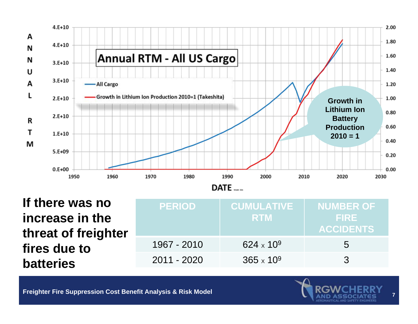

**If there was no increase in the threat of freighter fires due to batteries**

| <b>PERIOD</b> | <b>CUMULATIVE</b><br><b>RTM</b> | <b>NUMBER OF</b><br><b>FIRE</b><br><b>ACCIDENTS</b> |
|---------------|---------------------------------|-----------------------------------------------------|
| 1967 - 2010   | 624 x 10 <sup>9</sup>           | $\overline{a}$                                      |
| 2011 - 2020   | $365 \times 10^9$               | $\mathbf{z}$                                        |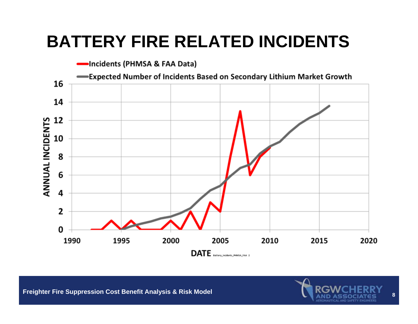#### **BATTERY FIRE RELATED INCIDENTS**